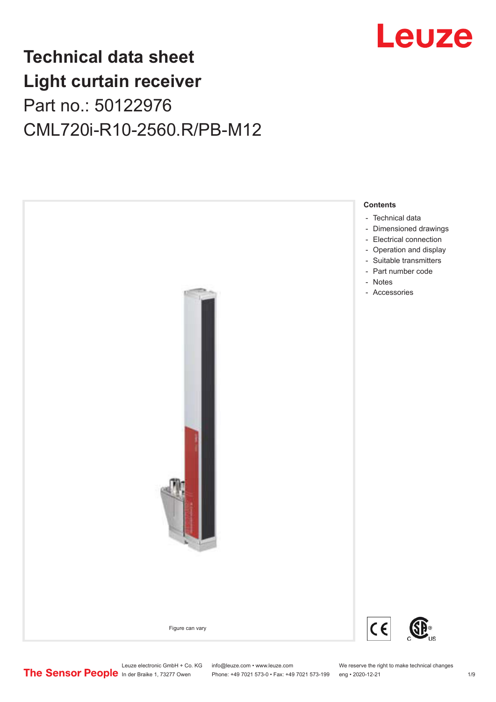

# **Technical data sheet Light curtain receiver** Part no.: 50122976 CML720i-R10-2560.R/PB-M12



Leuze electronic GmbH + Co. KG info@leuze.com • www.leuze.com We reserve the right to make technical changes<br>
The Sensor People in der Braike 1, 73277 Owen Phone: +49 7021 573-0 • Fax: +49 7021 573-199 eng • 2020-12-21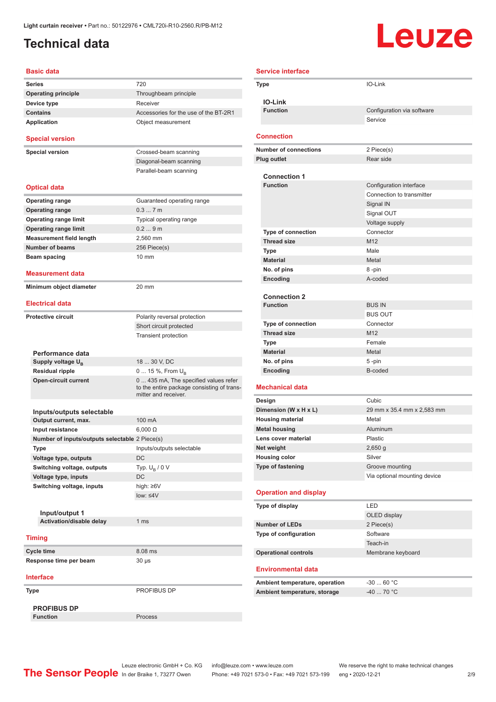### <span id="page-1-0"></span>**Technical data**

# **Leuze**

| <b>Basic data</b>                              |                                                                                                             |  |
|------------------------------------------------|-------------------------------------------------------------------------------------------------------------|--|
| <b>Series</b>                                  | 720                                                                                                         |  |
| <b>Operating principle</b>                     | Throughbeam principle                                                                                       |  |
| Device type                                    | Receiver                                                                                                    |  |
| <b>Contains</b>                                | Accessories for the use of the BT-2R1                                                                       |  |
| <b>Application</b>                             | Object measurement                                                                                          |  |
| <b>Special version</b>                         |                                                                                                             |  |
| <b>Special version</b>                         | Crossed-beam scanning                                                                                       |  |
|                                                | Diagonal-beam scanning                                                                                      |  |
|                                                | Parallel-beam scanning                                                                                      |  |
| <b>Optical data</b>                            |                                                                                                             |  |
| <b>Operating range</b>                         | Guaranteed operating range                                                                                  |  |
| <b>Operating range</b>                         | 0.37m                                                                                                       |  |
| <b>Operating range limit</b>                   | Typical operating range                                                                                     |  |
| <b>Operating range limit</b>                   | 0.29m                                                                                                       |  |
| <b>Measurement field length</b>                | 2.560 mm                                                                                                    |  |
| <b>Number of beams</b>                         | 256 Piece(s)                                                                                                |  |
| Beam spacing                                   | 10 mm                                                                                                       |  |
| Measurement data                               |                                                                                                             |  |
| Minimum object diameter                        | 20 mm                                                                                                       |  |
| <b>Electrical data</b>                         |                                                                                                             |  |
| <b>Protective circuit</b>                      | Polarity reversal protection                                                                                |  |
|                                                | Short circuit protected                                                                                     |  |
|                                                | <b>Transient protection</b>                                                                                 |  |
|                                                |                                                                                                             |  |
| Performance data                               |                                                                                                             |  |
| Supply voltage U <sub>B</sub>                  | 18  30 V, DC                                                                                                |  |
| <b>Residual ripple</b>                         | 0  15 %, From $U_{\rm B}$                                                                                   |  |
| <b>Open-circuit current</b>                    | 0  435 mA, The specified values refer<br>to the entire package consisting of trans-<br>mitter and receiver. |  |
|                                                |                                                                                                             |  |
| Inputs/outputs selectable                      |                                                                                                             |  |
| Output current, max.                           | 100 mA                                                                                                      |  |
| Input resistance                               | $6,000 \Omega$                                                                                              |  |
| Number of inputs/outputs selectable 2 Piece(s) |                                                                                                             |  |
| Type                                           | Inputs/outputs selectable                                                                                   |  |
| Voltage type, outputs                          | <b>DC</b>                                                                                                   |  |
| Switching voltage, outputs                     | Typ. $U_R / 0 V$                                                                                            |  |
| Voltage type, inputs                           | DC                                                                                                          |  |
| Switching voltage, inputs                      | high: $\geq 6V$                                                                                             |  |
|                                                | low: $\leq 4V$                                                                                              |  |
|                                                |                                                                                                             |  |
| Input/output 1                                 |                                                                                                             |  |
| Activation/disable delay                       | 1 ms                                                                                                        |  |
| <b>Timing</b>                                  |                                                                                                             |  |
| Cycle time                                     | 8.08 ms                                                                                                     |  |
| Response time per beam                         | $30 \mu s$                                                                                                  |  |
| <b>Interface</b>                               |                                                                                                             |  |
|                                                | PROFIBUS DP                                                                                                 |  |
| Type                                           |                                                                                                             |  |
| <b>PROFIBUS DP</b>                             |                                                                                                             |  |
| <b>Function</b>                                | Process                                                                                                     |  |

| <b>Service interface</b> |                                        |                                 |  |
|--------------------------|----------------------------------------|---------------------------------|--|
| Type                     |                                        | IO-Link                         |  |
|                          |                                        |                                 |  |
|                          | <b>IO-Link</b><br><b>Function</b>      | Configuration via software      |  |
|                          |                                        | Service                         |  |
|                          |                                        |                                 |  |
|                          | <b>Connection</b>                      |                                 |  |
|                          | <b>Number of connections</b>           | 2 Piece(s)                      |  |
|                          | <b>Plug outlet</b>                     | Rear side                       |  |
|                          |                                        |                                 |  |
|                          | <b>Connection 1</b><br><b>Function</b> | Configuration interface         |  |
|                          |                                        | Connection to transmitter       |  |
|                          |                                        | Signal IN                       |  |
|                          |                                        | Signal OUT                      |  |
|                          |                                        | Voltage supply                  |  |
|                          | <b>Type of connection</b>              | Connector                       |  |
|                          | <b>Thread size</b>                     | M <sub>12</sub>                 |  |
|                          | Type                                   | Male                            |  |
|                          | <b>Material</b>                        | Metal                           |  |
|                          | No. of pins                            | 8-pin                           |  |
|                          | Encoding                               | A-coded                         |  |
|                          |                                        |                                 |  |
|                          | <b>Connection 2</b>                    |                                 |  |
|                          | <b>Function</b>                        | <b>BUS IN</b><br><b>BUS OUT</b> |  |
|                          | Type of connection                     | Connector                       |  |
|                          | <b>Thread size</b>                     | M <sub>12</sub>                 |  |
|                          | Type                                   | Female                          |  |
|                          | <b>Material</b>                        | Metal                           |  |
|                          | No. of pins                            | 5-pin                           |  |
|                          | <b>Encoding</b>                        | B-coded                         |  |
|                          |                                        |                                 |  |
|                          | <b>Mechanical data</b>                 |                                 |  |
| Design                   |                                        | Cubic                           |  |
|                          | Dimension (W x H x L)                  | 29 mm x 35.4 mm x 2,583 mm      |  |
|                          | <b>Housing material</b>                | Metal<br>Aluminum               |  |
|                          | <b>Metal housing</b>                   |                                 |  |
|                          | Lens cover material<br>Net weight      | Plastic<br>$2,650$ g            |  |
|                          | <b>Housing color</b>                   | Silver                          |  |
|                          | <b>Type of fastening</b>               | Groove mounting                 |  |
|                          |                                        | Via optional mounting device    |  |
|                          |                                        |                                 |  |
|                          | <b>Operation and display</b>           |                                 |  |
|                          | Type of display                        | LED                             |  |
|                          |                                        | OLED display                    |  |
|                          | <b>Number of LEDs</b>                  | 2 Piece(s)                      |  |
|                          | Type of configuration                  | Software                        |  |
|                          |                                        | Teach-in                        |  |
|                          | <b>Operational controls</b>            | Membrane keyboard               |  |
|                          | <b>Environmental data</b>              |                                 |  |
|                          | Ambient temperature, operation         | $-3060 °C$                      |  |
|                          | Ambient temperature, storage           | -40  70 °C                      |  |
|                          |                                        |                                 |  |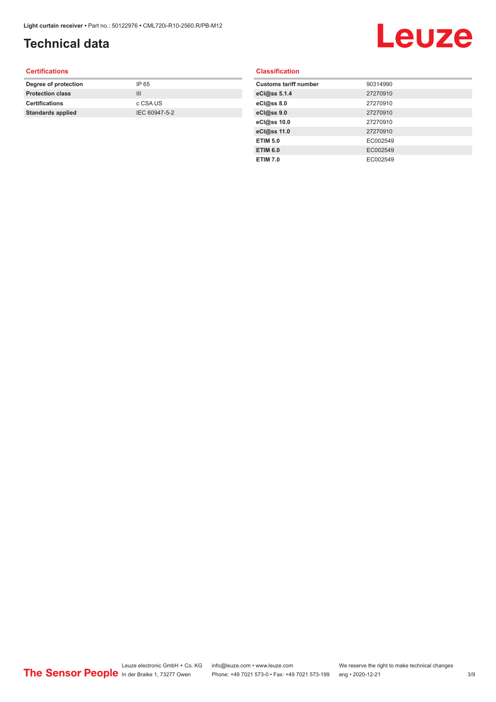## **Technical data**

# Leuze

#### **Certifications**

| Degree of protection     | IP 65         |
|--------------------------|---------------|
| <b>Protection class</b>  | Ш             |
| <b>Certifications</b>    | c CSA US      |
| <b>Standards applied</b> | IEC 60947-5-2 |
|                          |               |

#### **Classification**

| <b>Customs tariff number</b> | 90314990 |
|------------------------------|----------|
| eCl@ss 5.1.4                 | 27270910 |
| eCl@ss 8.0                   | 27270910 |
| eCl@ss 9.0                   | 27270910 |
| eCl@ss 10.0                  | 27270910 |
| eCl@ss 11.0                  | 27270910 |
| <b>ETIM 5.0</b>              | EC002549 |
| <b>ETIM 6.0</b>              | EC002549 |
| <b>ETIM 7.0</b>              | EC002549 |
|                              |          |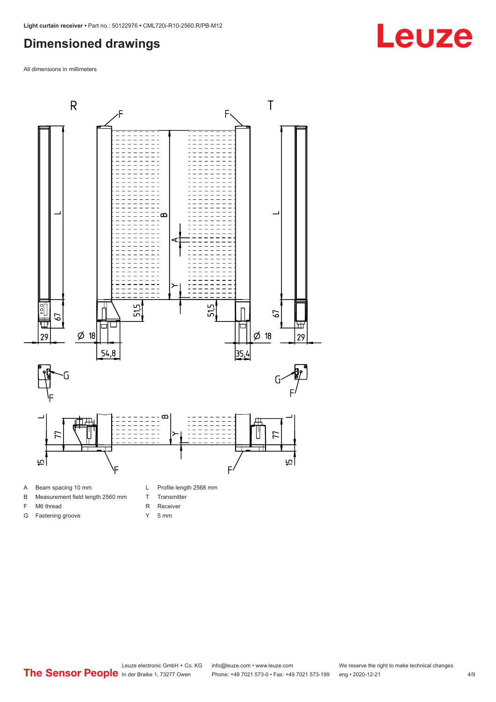#### <span id="page-3-0"></span>**Dimensioned drawings**

All dimensions in millimeters



- A Beam spacing 10 mm
- B Measurement field length 2560 mm
- F M6 thread

G Fastening groove

- R Receiver
	- Y 5 mm

T Transmitter

Leuze electronic GmbH + Co. KG info@leuze.com • www.leuze.com We reserve the right to make technical changes<br>
The Sensor People in der Braike 1, 73277 Owen Phone: +49 7021 573-0 • Fax: +49 7021 573-199 eng • 2020-12-21 Phone: +49 7021 573-0 • Fax: +49 7021 573-199 eng • 2020-12-21 4/9

# **Leuze**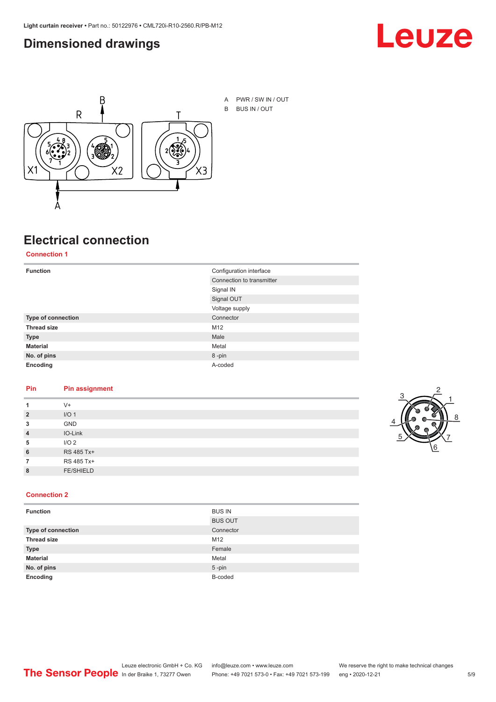#### <span id="page-4-0"></span>**Dimensioned drawings**





A PWR / SW IN / OUT B BUS IN / OUT

# **Electrical connection**

#### **Connection 1**

| <b>Function</b>    | Configuration interface   |  |
|--------------------|---------------------------|--|
|                    | Connection to transmitter |  |
|                    | Signal IN                 |  |
|                    | Signal OUT                |  |
|                    | Voltage supply            |  |
| Type of connection | Connector                 |  |
| <b>Thread size</b> | M12                       |  |
| <b>Type</b>        | Male                      |  |
| <b>Material</b>    | Metal                     |  |
| No. of pins        | 8-pin                     |  |
| Encoding           | A-coded                   |  |

#### **Pin Pin assignment**

|                | $V +$            |  |  |
|----------------|------------------|--|--|
| $\overline{2}$ | I/O <sub>1</sub> |  |  |
| 3              | <b>GND</b>       |  |  |
| $\overline{4}$ | IO-Link          |  |  |
| 5              | I/O <sub>2</sub> |  |  |
| 6              | RS 485 Tx+       |  |  |
|                | RS 485 Tx+       |  |  |
| 8              | <b>FE/SHIELD</b> |  |  |
|                |                  |  |  |



#### **Connection 2**

| <b>Function</b>    | <b>BUS IN</b>  |
|--------------------|----------------|
|                    | <b>BUS OUT</b> |
| Type of connection | Connector      |
| <b>Thread size</b> | M12            |
| <b>Type</b>        | Female         |
| <b>Material</b>    | Metal          |
| No. of pins        | $5 - pin$      |
| Encoding           | B-coded        |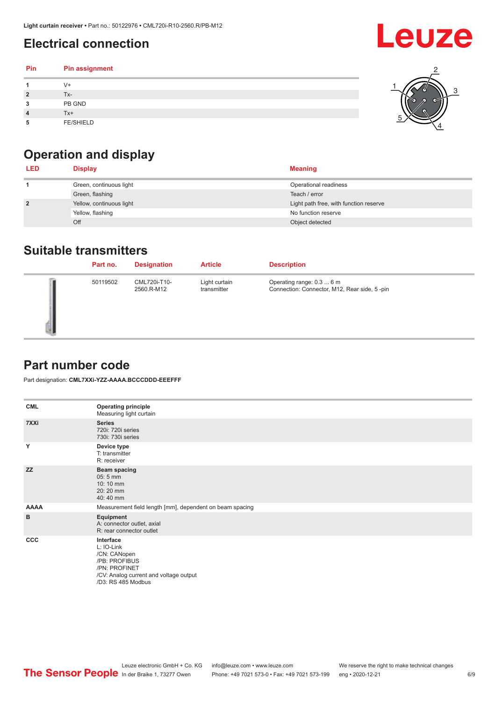## <span id="page-5-0"></span>**Electrical connection**

| Pin | Pin assignment   |  |
|-----|------------------|--|
|     | V+               |  |
| ∍   | Tx-              |  |
| 3   | PB GND           |  |
|     | $Tx+$            |  |
| 5   | <b>FE/SHIELD</b> |  |

## **Operation and display**

| <b>LED</b>     | <b>Display</b>           | <b>Meaning</b>                         |
|----------------|--------------------------|----------------------------------------|
|                | Green, continuous light  | Operational readiness                  |
|                | Green, flashing          | Teach / error                          |
| $\overline{2}$ | Yellow, continuous light | Light path free, with function reserve |
|                | Yellow, flashing         | No function reserve                    |
|                | Off                      | Object detected                        |

#### **Suitable transmitters**

| Part no. | <b>Designation</b>         | <b>Article</b>               | <b>Description</b>                                                        |
|----------|----------------------------|------------------------------|---------------------------------------------------------------------------|
| 50119502 | CML720i-T10-<br>2560.R-M12 | Light curtain<br>transmitter | Operating range: 0.3  6 m<br>Connection: Connector, M12, Rear side, 5-pin |

#### **Part number code**

Part designation: **CML7XXi-YZZ-AAAA.BCCCDDD-EEEFFF**

| <b>CML</b>  | <b>Operating principle</b><br>Measuring light curtain                                                                                     |
|-------------|-------------------------------------------------------------------------------------------------------------------------------------------|
| 7XXi        | <b>Series</b><br>720i: 720i series<br>730i: 730i series                                                                                   |
| Y           | Device type<br>T: transmitter<br>R: receiver                                                                                              |
| <b>ZZ</b>   | <b>Beam spacing</b><br>$05:5$ mm<br>10:10 mm<br>20:20 mm<br>40:40 mm                                                                      |
| <b>AAAA</b> | Measurement field length [mm], dependent on beam spacing                                                                                  |
| B           | Equipment<br>A: connector outlet, axial<br>R: rear connector outlet                                                                       |
| <b>CCC</b>  | Interface<br>L: IO-Link<br>/CN: CANopen<br>/PB: PROFIBUS<br>/PN: PROFINET<br>/CV: Analog current and voltage output<br>/D3: RS 485 Modbus |

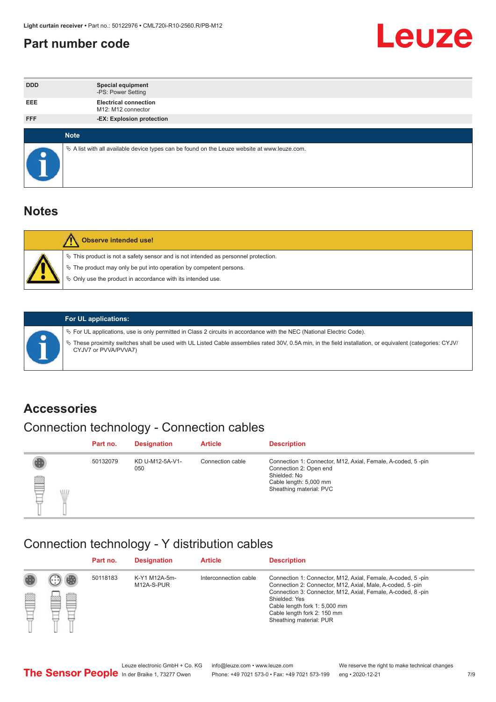#### <span id="page-6-0"></span>**Part number code**



| <b>DDD</b>  | <b>Special equipment</b><br>-PS: Power Setting                                                  |
|-------------|-------------------------------------------------------------------------------------------------|
| <b>EEE</b>  | <b>Electrical connection</b><br>M12: M12 connector                                              |
| <b>FFF</b>  | -EX: Explosion protection                                                                       |
|             |                                                                                                 |
| <b>Note</b> |                                                                                                 |
|             | $\&$ A list with all available device types can be found on the Leuze website at www.leuze.com. |

#### **Notes**

| <b>Observe intended use!</b>                                                                                                                                                                                                  |
|-------------------------------------------------------------------------------------------------------------------------------------------------------------------------------------------------------------------------------|
| $\%$ This product is not a safety sensor and is not intended as personnel protection.<br>$\%$ The product may only be put into operation by competent persons.<br>♦ Only use the product in accordance with its intended use. |



#### **For UL applications:**

ª For UL applications, use is only permitted in Class 2 circuits in accordance with the NEC (National Electric Code). ª These proximity switches shall be used with UL Listed Cable assemblies rated 30V, 0.5A min, in the field installation, or equivalent (categories: CYJV/ CYJV7 or PVVA/PVVA7)

#### **Accessories**

## Connection technology - Connection cables

|        | Part no. | <b>Designation</b>     | <b>Article</b>   | <b>Description</b>                                                                                                                                         |
|--------|----------|------------------------|------------------|------------------------------------------------------------------------------------------------------------------------------------------------------------|
| 2<br>W | 50132079 | KD U-M12-5A-V1-<br>050 | Connection cable | Connection 1: Connector, M12, Axial, Female, A-coded, 5-pin<br>Connection 2: Open end<br>Shielded: No<br>Cable length: 5,000 mm<br>Sheathing material: PVC |

#### Connection technology - Y distribution cables

|             |   | Part no. | <b>Designation</b>          | <b>Article</b>        | <b>Description</b>                                                                                                                                                                                                                                                                                  |
|-------------|---|----------|-----------------------------|-----------------------|-----------------------------------------------------------------------------------------------------------------------------------------------------------------------------------------------------------------------------------------------------------------------------------------------------|
| 圔<br>⋿<br>٣ | ø | 50118183 | K-Y1 M12A-5m-<br>M12A-S-PUR | Interconnection cable | Connection 1: Connector, M12, Axial, Female, A-coded, 5-pin<br>Connection 2: Connector, M12, Axial, Male, A-coded, 5-pin<br>Connection 3: Connector, M12, Axial, Female, A-coded, 8-pin<br>Shielded: Yes<br>Cable length fork 1: 5,000 mm<br>Cable length fork 2: 150 mm<br>Sheathing material: PUR |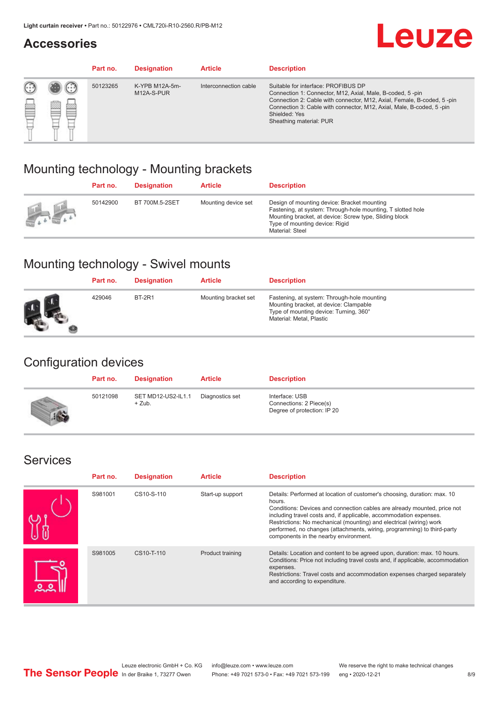#### **Accessories**

# **Leuze**

|     |        | Part no. | <b>Designation</b>           | <b>Article</b>        | <b>Description</b>                                                                                                                                                                                                                                                                             |
|-----|--------|----------|------------------------------|-----------------------|------------------------------------------------------------------------------------------------------------------------------------------------------------------------------------------------------------------------------------------------------------------------------------------------|
| 622 | æ<br>鍃 | 50123265 | K-YPB M12A-5m-<br>M12A-S-PUR | Interconnection cable | Suitable for interface: PROFIBUS DP<br>Connection 1: Connector, M12, Axial, Male, B-coded, 5-pin<br>Connection 2: Cable with connector, M12, Axial, Female, B-coded, 5-pin<br>Connection 3: Cable with connector, M12, Axial, Male, B-coded, 5-pin<br>Shielded: Yes<br>Sheathing material: PUR |

#### Mounting technology - Mounting brackets

|               | Part no. | <b>Designation</b> | <b>Article</b>      | <b>Description</b>                                                                                                                                                                                                        |
|---------------|----------|--------------------|---------------------|---------------------------------------------------------------------------------------------------------------------------------------------------------------------------------------------------------------------------|
| $\frac{1}{2}$ | 50142900 | BT 700M.5-2SET     | Mounting device set | Design of mounting device: Bracket mounting<br>Fastening, at system: Through-hole mounting, T slotted hole<br>Mounting bracket, at device: Screw type, Sliding block<br>Type of mounting device: Rigid<br>Material: Steel |

## Mounting technology - Swivel mounts

| Part no. | <b>Designation</b> | <b>Article</b>       | <b>Description</b>                                                                                                                                          |
|----------|--------------------|----------------------|-------------------------------------------------------------------------------------------------------------------------------------------------------------|
| 429046   | <b>BT-2R1</b>      | Mounting bracket set | Fastening, at system: Through-hole mounting<br>Mounting bracket, at device: Clampable<br>Type of mounting device: Turning, 360°<br>Material: Metal, Plastic |

#### Configuration devices

| Part no. | <b>Designation</b>             | <b>Article</b>  | <b>Description</b>                                                       |
|----------|--------------------------------|-----------------|--------------------------------------------------------------------------|
| 50121098 | SET MD12-US2-IL1.1<br>$+$ Zub. | Diagnostics set | Interface: USB<br>Connections: 2 Piece(s)<br>Degree of protection: IP 20 |

#### Services

| Part no. | <b>Designation</b> | <b>Article</b>   | <b>Description</b>                                                                                                                                                                                                                                                                                                                                                                                                              |
|----------|--------------------|------------------|---------------------------------------------------------------------------------------------------------------------------------------------------------------------------------------------------------------------------------------------------------------------------------------------------------------------------------------------------------------------------------------------------------------------------------|
| S981001  | CS10-S-110         | Start-up support | Details: Performed at location of customer's choosing, duration: max. 10<br>hours.<br>Conditions: Devices and connection cables are already mounted, price not<br>including travel costs and, if applicable, accommodation expenses.<br>Restrictions: No mechanical (mounting) and electrical (wiring) work<br>performed, no changes (attachments, wiring, programming) to third-party<br>components in the nearby environment. |
| S981005  | CS10-T-110         | Product training | Details: Location and content to be agreed upon, duration: max. 10 hours.<br>Conditions: Price not including travel costs and, if applicable, accommodation<br>expenses.<br>Restrictions: Travel costs and accommodation expenses charged separately<br>and according to expenditure.                                                                                                                                           |